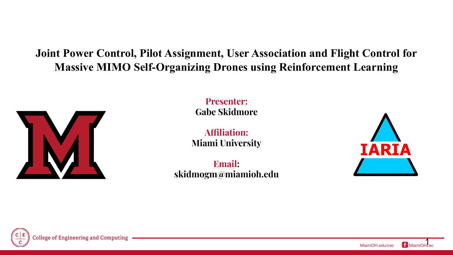#### **Joint Power Control, Pilot Assignment, User Association and Flight Control for Massive MIMO Self-Organizing Drones using Reinforcement Learning**



**Presenter: Gabe Skidmore**

**Affiliation: Miami University**

**Email: skidmogm@miamioh.edu**



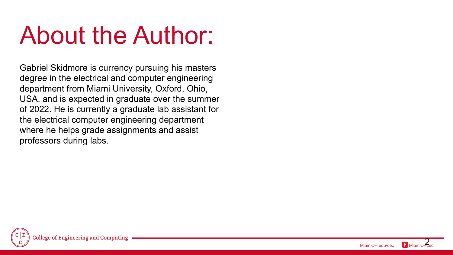## About the Author:

Gabriel Skidmore is currency pursuing his masters degree in the electrical and computer engineering department from Miami University, Oxford, Ohio, USA, and is expected in graduate over the summer of 2022. He is currently a graduate lab assistant for the electrical computer engineering department where he helps grade assignments and assist professors during labs.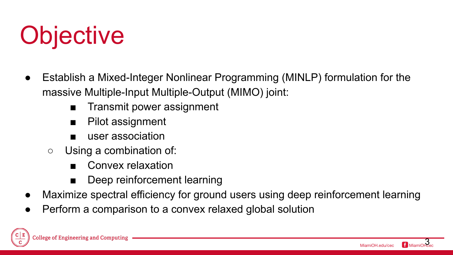

- Establish a Mixed-Integer Nonlinear Programming (MINLP) formulation for the massive Multiple-Input Multiple-Output (MIMO) joint:
	- Transmit power assignment
	- Pilot assignment
	- user association
	- Using a combination of:
		- Convex relaxation
		- Deep reinforcement learning
- Maximize spectral efficiency for ground users using deep reinforcement learning
- Perform a comparison to a convex relaxed global solution

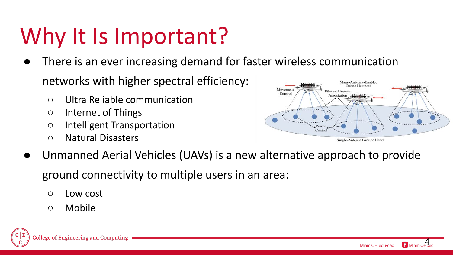## Why It Is Important?

- There is an ever increasing demand for faster wireless communication networks with higher spectral efficiency:
	- Ultra Reliable communication
	- Internet of Things
	- Intelligent Transportation
	- Natural Disasters



Unmanned Aerial Vehicles (UAVs) is a new alternative approach to provide

ground connectivity to multiple users in an area:

- Low cost
- Mobile

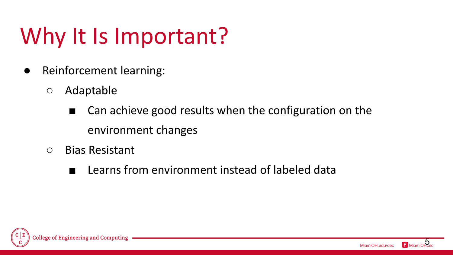## Why It Is Important?

- Reinforcement learning:
	- Adaptable
		- Can achieve good results when the configuration on the environment changes
	- Bias Resistant
		- Learns from environment instead of labeled data



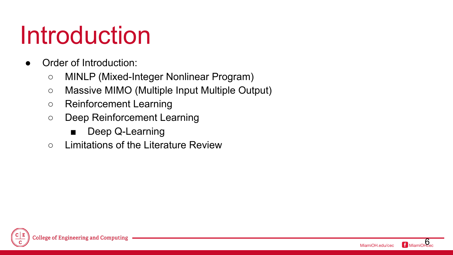## Introduction

- Order of Introduction:
	- MINLP (Mixed-Integer Nonlinear Program)
	- Massive MIMO (Multiple Input Multiple Output)
	- Reinforcement Learning
	- Deep Reinforcement Learning
		- Deep Q-Learning
	- Limitations of the Literature Review

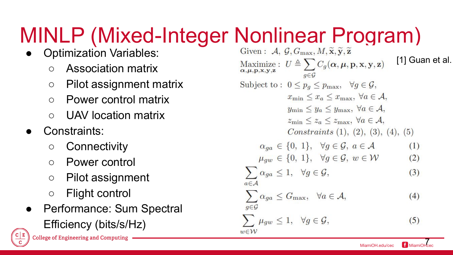# MINLP (Mixed-Integer Nonlinear Program)

- **Optimization Variables:** 
	- Association matrix
	- Pilot assignment matrix
	- Power control matrix
	- UAV location matrix
- Constraints:
	- Connectivity
	- Power control
	- Pilot assignment
	- Flight control
- Performance: Sum Spectral Efficiency (bits/s/Hz) **College of Engineering and Computing**

[1] Guan et al. Maximize:  $U \triangleq \sum_{\alpha,\mu,\mathbf{p},\mathbf{x},\mathbf{y},\mathbf{z}} C_g(\alpha,\mu,\mathbf{p},\mathbf{x},\mathbf{y},\mathbf{z})$  $q \in \mathcal{G}$ Subject to:  $0 \leq p_g \leq p_{\text{max}}, \quad \forall g \in \mathcal{G},$  $x_{\min} \leq x_a \leq x_{\max}, \ \forall a \in \mathcal{A},$  $y_{\min} \leq y_a \leq y_{\max}, \ \forall a \in \mathcal{A},$  $z_{\min} \leq z_a \leq z_{\max}, \ \forall a \in \mathcal{A},$ Constraints  $(1), (2), (3), (4), (5)$  $\alpha_{aa} \in \{0, 1\}, \forall g \in \mathcal{G}, a \in \mathcal{A}$  $(1)$  $\mu_{aw} \in \{0, 1\}, \quad \forall g \in \mathcal{G}, w \in \mathcal{W}$  $(2)$  $\sum \alpha_{ga} \leq 1, \quad \forall g \in \mathcal{G},$  $(3)$  $a \in \mathcal{A}$  $\sum \alpha_{ga} \leq G_{\text{max}}, \ \ \forall a \in \mathcal{A},$  $(4)$  $g{\in}\mathcal{G}$  $\sum \mu_{gw} \leq 1, \quad \forall g \in \mathcal{G},$  $(5)$  $w \in \mathcal{W}$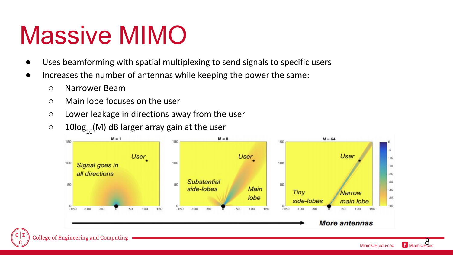- Uses beamforming with spatial multiplexing to send signals to specific users
- Increases the number of antennas while keeping the power the same:
	- Narrower Beam
	- Main lobe focuses on the user
	- Lower leakage in directions away from the user
	- $\circ$  10log<sub>10</sub>(M) dB larger array gain at the user

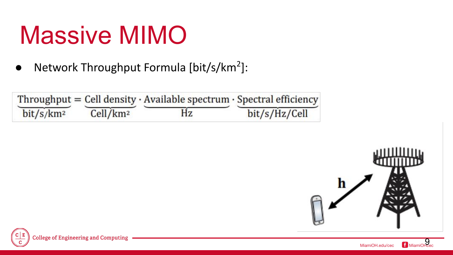● Network Throughput Formula [bit/s/km<sup>2</sup>]:

|                       |                      | Throughput = Cell density $\cdot$ Available spectrum $\cdot$ Spectral efficiency |               |
|-----------------------|----------------------|----------------------------------------------------------------------------------|---------------|
| bit/s/km <sup>2</sup> | Cell/km <sup>2</sup> | Hz                                                                               | bit/s/Hz/Cell |



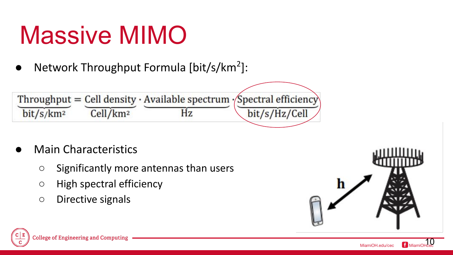● Network Throughput Formula [bit/s/km<sup>2</sup>]:



- **Main Characteristics** 
	- Significantly more antennas than users
	- High spectral efficiency
	- Directive signals



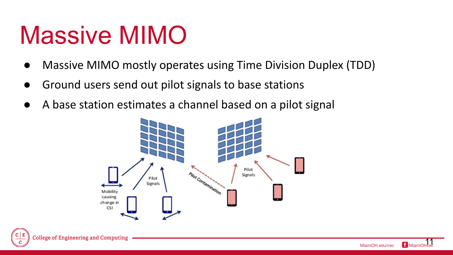- Massive MIMO mostly operates using Time Division Duplex (TDD)
- Ground users send out pilot signals to base stations
- A base station estimates a channel based on a pilot signal

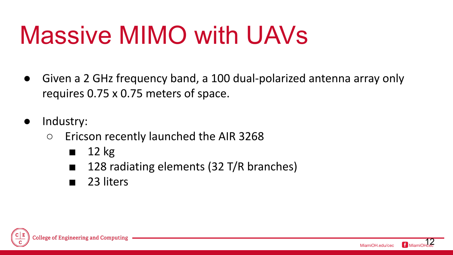## Massive MIMO with UAVs

- Given a 2 GHz frequency band, a 100 dual-polarized antenna array only requires 0.75 x 0.75 meters of space.
- Industry:
	- Ericson recently launched the AIR 3268
		- $\blacksquare$  12 kg
		- 128 radiating elements (32 T/R branches)
		- 23 liters

College of Engineering and Compi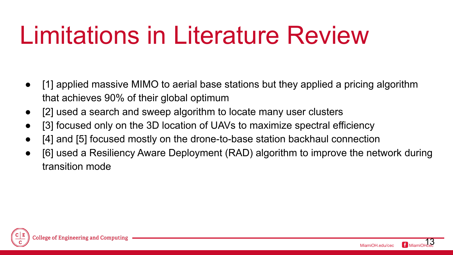## Limitations in Literature Review

- [1] applied massive MIMO to aerial base stations but they applied a pricing algorithm that achieves 90% of their global optimum
- [2] used a search and sweep algorithm to locate many user clusters
- [3] focused only on the 3D location of UAVs to maximize spectral efficiency
- [4] and [5] focused mostly on the drone-to-base station backhaul connection
- [6] used a Resiliency Aware Deployment (RAD) algorithm to improve the network during transition mode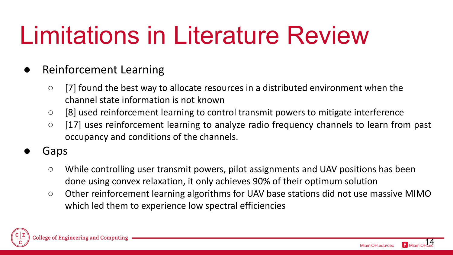## Limitations in Literature Review

- **Reinforcement Learning** 
	- [7] found the best way to allocate resources in a distributed environment when the channel state information is not known
	- [8] used reinforcement learning to control transmit powers to mitigate interference
	- [17] uses reinforcement learning to analyze radio frequency channels to learn from past occupancy and conditions of the channels.
- **Gaps** 
	- While controlling user transmit powers, pilot assignments and UAV positions has been done using convex relaxation, it only achieves 90% of their optimum solution
	- Other reinforcement learning algorithms for UAV base stations did not use massive MIMO which led them to experience low spectral efficiencies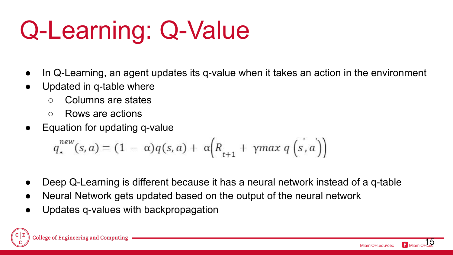## Q-Learning: Q-Value

- In Q-Learning, an agent updates its q-value when it takes an action in the environment
- Updated in q-table where
	- Columns are states
	- Rows are actions
- Equation for updating q-value

$$
q_*^{new}(s, a) = (1 - \alpha)q(s, a) + \alpha \Big(R_{t+1} + \gamma max \, q\left(s, a\right)\Big)
$$

- Deep Q-Learning is different because it has a neural network instead of a q-table
- Neural Network gets updated based on the output of the neural network
- Updates q-values with backpropagation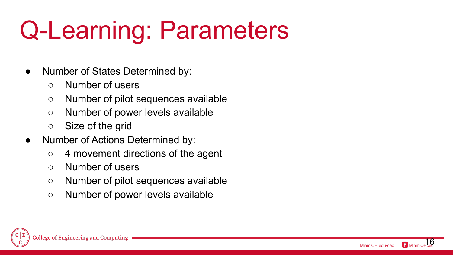## Q-Learning: Parameters

- Number of States Determined by:
	- Number of users
	- Number of pilot sequences available
	- Number of power levels available
	- Size of the grid
- Number of Actions Determined by:
	- 4 movement directions of the agent
	- Number of users
	- Number of pilot sequences available
	- Number of power levels available

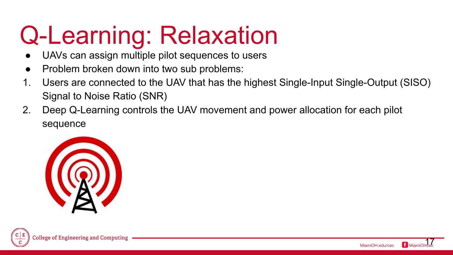## Q-Learning: Relaxation

- UAVs can assign multiple pilot sequences to users
- Problem broken down into two sub problems:
- 1. Users are connected to the UAV that has the highest Single-Input Single-Output (SISO) Signal to Noise Ratio (SNR)
- 2. Deep Q-Learning controls the UAV movement and power allocation for each pilot sequence



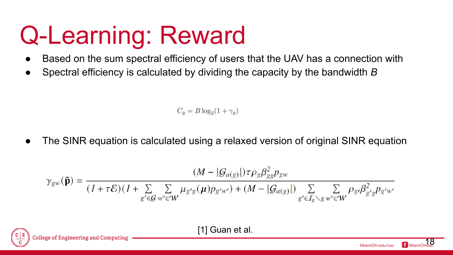## Q-Learning: Reward

- Based on the sum spectral efficiency of users that the UAV has a connection with
- Spectral efficiency is calculated by dividing the capacity by the bandwidth *B*

 $C_q = B \log_2(1+\gamma_q)$ 

The SINR equation is calculated using a relaxed version of original SINR equation

$$
\gamma_{gw}(\tilde{\mathbf{p}}) = \frac{(M - |\mathcal{G}_{a(g)}|)\tau \rho_g \beta_{gg}^2 p_{gw}}{(1 + \tau \mathcal{E})(1 + \sum\limits_{g' \in \mathcal{G}} \sum_{w' \in W} \mu_{g'g}(\mu) p_{g'w'}) + (M - |\mathcal{G}_{a(g)}|) \sum\limits_{g' \in \mathcal{I}_g \backslash g} \sum_{w' \in W} \rho_{g'} \beta_{g'g}^2 p_{g'w'}
$$

[1] Guan et al.

MiamiOH edu/cec 18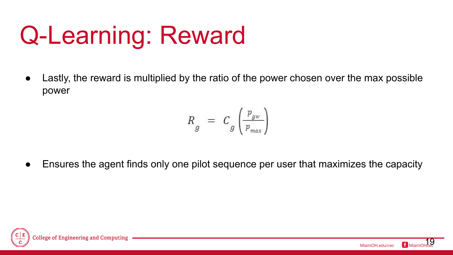## Q-Learning: Reward

• Lastly, the reward is multiplied by the ratio of the power chosen over the max possible power

$$
R_g = C_g \left(\frac{p_{gw}}{p_{max}}\right)
$$

Ensures the agent finds only one pilot sequence per user that maximizes the capacity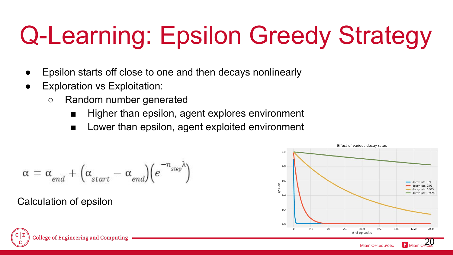## Q-Learning: Epsilon Greedy Strategy

- Epsilon starts off close to one and then decays nonlinearly
- **Exploration vs Exploitation:** 
	- Random number generated
		- Higher than epsilon, agent explores environment
		- Lower than epsilon, agent exploited environment

$$
\alpha\,=\,\alpha_{\textit{end}}\,+\,\big(\alpha_{\textit{start}}\,-\,\alpha_{\textit{end}}\big)\big(e^{-n_{\textit{step}}\lambda}\big)
$$

Calculation of epsilon



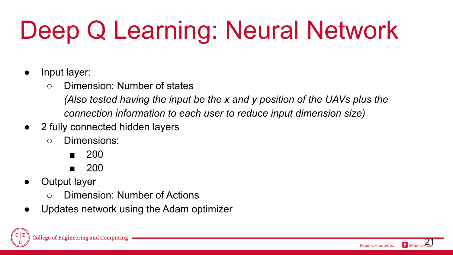## Deep Q Learning: Neural Network

- Input layer:
	- Dimension: Number of states

*(Also tested having the input be the x and y position of the UAVs plus the connection information to each user to reduce input dimension size)*

- 2 fully connected hidden layers
	- Dimensions:
		- 200
		- 200
- Output layer
	- Dimension: Number of Actions
- Updates network using the Adam optimizer

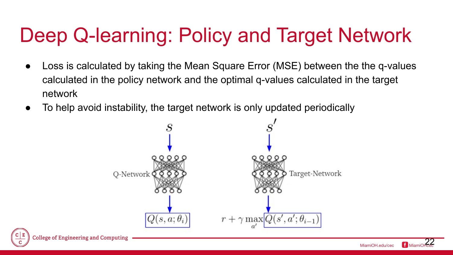#### Deep Q-learning: Policy and Target Network

- Loss is calculated by taking the Mean Square Error (MSE) between the the q-values calculated in the policy network and the optimal q-values calculated in the target network
- To help avoid instability, the target network is only updated periodically

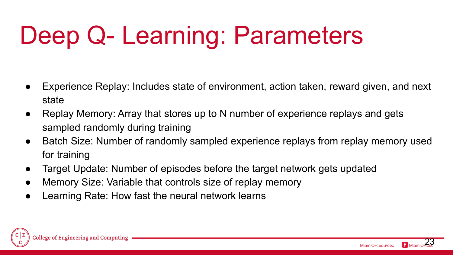## Deep Q- Learning: Parameters

- Experience Replay: Includes state of environment, action taken, reward given, and next state
- Replay Memory: Array that stores up to N number of experience replays and gets sampled randomly during training
- Batch Size: Number of randomly sampled experience replays from replay memory used for training
- Target Update: Number of episodes before the target network gets updated
- Memory Size: Variable that controls size of replay memory
- Learning Rate: How fast the neural network learns



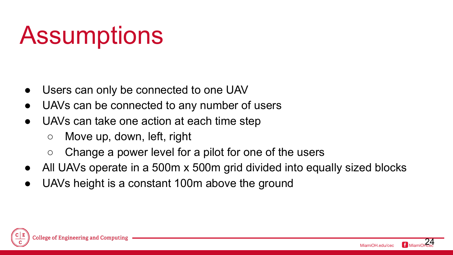## **Assumptions**

- Users can only be connected to one UAV
- UAVs can be connected to any number of users
- UAVs can take one action at each time step
	- $\circ$  Move up, down, left, right
	- Change a power level for a pilot for one of the users
- All UAVs operate in a 500m x 500m grid divided into equally sized blocks
- UAVs height is a constant 100m above the ground



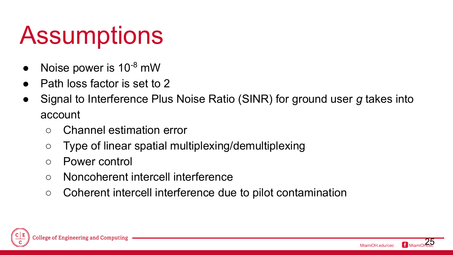## **Assumptions**

- Noise power is  $10^{-8}$  mW
- Path loss factor is set to 2
- Signal to Interference Plus Noise Ratio (SINR) for ground user *g* takes into account
	- Channel estimation error
	- Type of linear spatial multiplexing/demultiplexing
	- Power control
	- Noncoherent intercell interference
	- Coherent intercell interference due to pilot contamination



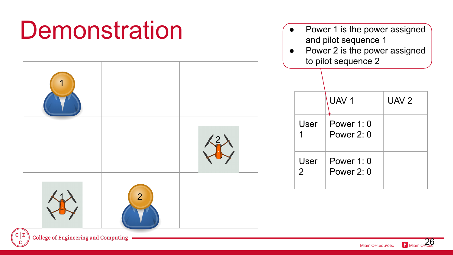#### **Demonstration**  $\overline{UAV 1}$   $\overline{UAV 2}$ User 1 Power 1: 0 Power 2: 0 User 2 Power 1: 0 Power 2: 0 1 2 1 2 Power 1 is the power assigned and pilot sequence 1 • Power 2 is the power assigned to pilot sequence 2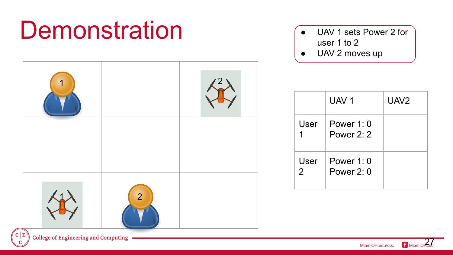### **Demonstration**



- UAV 1 sets Power 2 for user 1 to 2
- UAV 2 moves up

|           | UAV <sub>1</sub>           | UAV <sub>2</sub> |
|-----------|----------------------------|------------------|
| User      | Power 1: 0<br>Power 2: 2   |                  |
| User<br>2 | Power $1:0$<br>Power $2:0$ |                  |

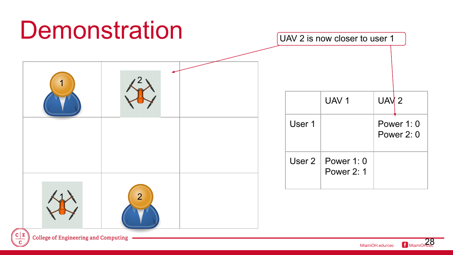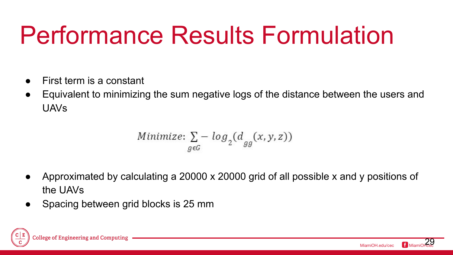## Performance Results Formulation

- First term is a constant
- Equivalent to minimizing the sum negative logs of the distance between the users and UAVs

Minimize: 
$$
\sum_{g \in G}
$$
 -  $\log_2(d_{gg}(x, y, z))$ 

- Approximated by calculating a 20000 x 20000 grid of all possible x and y positions of the UAVs
- Spacing between grid blocks is 25 mm

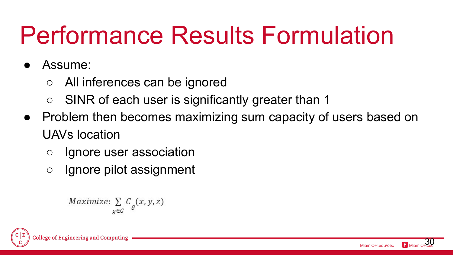## Performance Results Formulation

- Assume:
	- All inferences can be ignored
	- SINR of each user is significantly greater than 1
- Problem then becomes maximizing sum capacity of users based on UAVs location
	- Ignore user association
	- Ignore pilot assignment

```
Maximize: \sum_{g \in G} C_g(x, y, z)
```
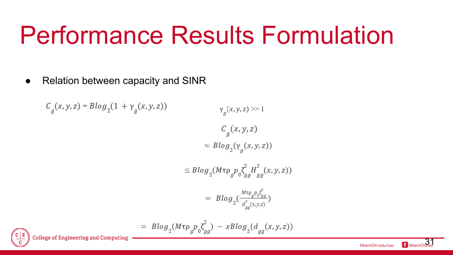## Performance Results Formulation

• Relation between capacity and SINR



MiamiOH.edu/cec f Mian  $31$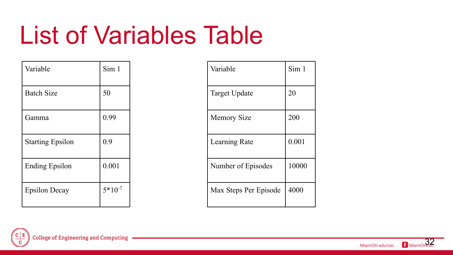## List of Variables Table

| Variable                | Sim 1       |
|-------------------------|-------------|
| <b>Batch Size</b>       | 50          |
| Gamma                   | 0.99        |
| <b>Starting Epsilon</b> | 0.9         |
| <b>Ending Epsilon</b>   | 0.001       |
| <b>Epsilon Decay</b>    | $5*10^{-7}$ |

| Variable              | Sim 1 |
|-----------------------|-------|
| <b>Target Update</b>  | 20    |
| <b>Memory Size</b>    | 200   |
| Learning Rate         | 0.001 |
| Number of Episodes    | 10000 |
| Max Steps Per Episode | 4000  |



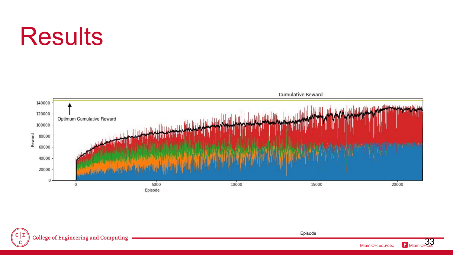## **Results**



![](_page_32_Picture_2.jpeg)

![](_page_32_Picture_4.jpeg)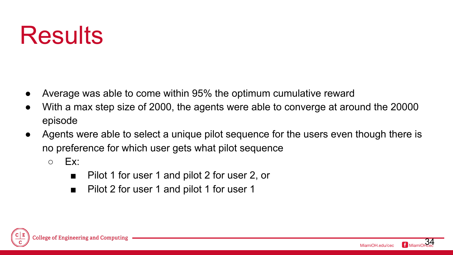## **Results**

- Average was able to come within 95% the optimum cumulative reward
- With a max step size of 2000, the agents were able to converge at around the 20000 episode
- Agents were able to select a unique pilot sequence for the users even though there is no preference for which user gets what pilot sequence
	- $\circ$  Ex:
		- Pilot 1 for user 1 and pilot 2 for user 2, or
		- Pilot 2 for user 1 and pilot 1 for user 1

![](_page_33_Picture_7.jpeg)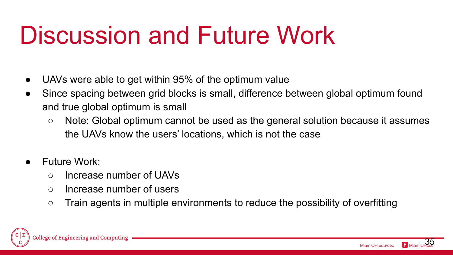## Discussion and Future Work

- UAVs were able to get within 95% of the optimum value
- Since spacing between grid blocks is small, difference between global optimum found and true global optimum is small
	- Note: Global optimum cannot be used as the general solution because it assumes the UAVs know the users' locations, which is not the case
- **Future Work:** 
	- Increase number of UAVs
	- Increase number of users
	- Train agents in multiple environments to reduce the possibility of overfitting

![](_page_34_Picture_8.jpeg)

![](_page_34_Picture_9.jpeg)